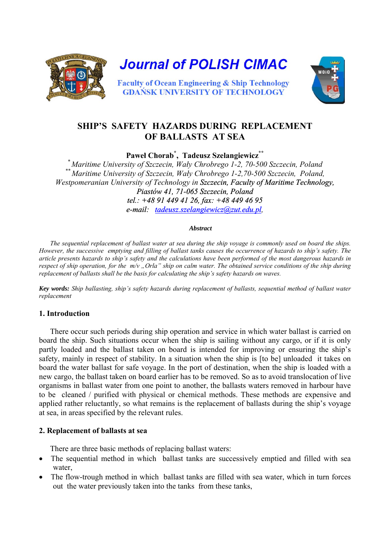

# **SHIP'S SAFETY HAZARDS DURING REPLACEMENT OF BALLASTS AT SEA**

**Paweł Chorab\* , Tadeusz Szelangiewicz\*\*** 

*\* Maritime University of Szczecin, Wały Chrobrego 1-2, 70-500 Szczecin, Poland \*\* Maritime University of Szczecin, Wały Chrobrego 1-2,70-500 Szczecin, Poland, Westpomeranian University of Technology in Szczecin, Faculty of Maritime Technology, Piastów 41, 71-065 Szczecin, Poland tel.: +48 91 449 41 26, fax: +48 449 46 95 [e-mail: tadeusz.szelangiewicz@zut.edu.pl,](mailto:tadeusz.szelangiewicz@zut.edu.pl)*

#### *Abstract*

*The sequential replacement of ballast water at sea during the ship voyage is commonly used on board the ships. However, the successive emptying and filling of ballast tanks causes the occurrence of hazards to ship's safety. The article presents hazards to ship's safety and the calculations have been performed of the most dangerous hazards in respect of ship operation, for the m/v ., Orla" ship on calm water. The obtained service conditions of the ship during replacement of ballasts shall be the basis for calculating the ship's safety hazards on waves.* 

*Key words: Ship ballasting, ship's safety hazards during replacement of ballasts, sequential method of ballast water replacement* 

### **1. Introduction**

There occur such periods during ship operation and service in which water ballast is carried on board the ship. Such situations occur when the ship is sailing without any cargo, or if it is only partly loaded and the ballast taken on board is intended for improving or ensuring the ship's safety, mainly in respect of stability. In a situation when the ship is [to be] unloaded it takes on board the water ballast for safe voyage. In the port of destination, when the ship is loaded with a new cargo, the ballast taken on board earlier has to be removed. So as to avoid translocation of live organisms in ballast water from one point to another, the ballasts waters removed in harbour have to be cleaned / purified with physical or chemical methods. These methods are expensive and applied rather reluctantly, so what remains is the replacement of ballasts during the ship's voyage at sea, in areas specified by the relevant rules.

### **2. Replacement of ballasts at sea**

There are three basic methods of replacing ballast waters:

- The sequential method in which ballast tanks are successively emptied and filled with sea water,
- The flow-trough method in which ballast tanks are filled with sea water, which in turn forces out the water previously taken into the tanks from these tanks,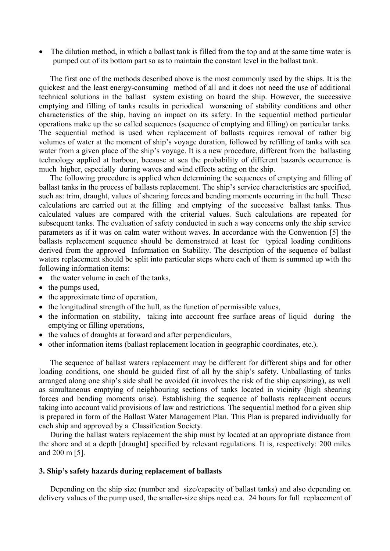• The dilution method, in which a ballast tank is filled from the top and at the same time water is pumped out of its bottom part so as to maintain the constant level in the ballast tank.

The first one of the methods described above is the most commonly used by the ships. It is the quickest and the least energy-consuming method of all and it does not need the use of additional technical solutions in the ballast system existing on board the ship. However, the successive emptying and filling of tanks results in periodical worsening of stability conditions and other characteristics of the ship, having an impact on its safety. In the sequential method particular operations make up the so called sequences (sequence of emptying and filling) on particular tanks. The sequential method is used when replacement of ballasts requires removal of rather big volumes of water at the moment of ship's voyage duration, followed by refilling of tanks with sea water from a given place of the ship's voyage. It is a new procedure, different from the ballasting technology applied at harbour, because at sea the probability of different hazards occurrence is much higher, especially during waves and wind effects acting on the ship.

The following procedure is applied when determining the sequences of emptying and filling of ballast tanks in the process of ballasts replacement. The ship's service characteristics are specified, such as: trim, draught, values of shearing forces and bending moments occurring in the hull. These calculations are carried out at the filling and emptying of the successive ballast tanks. Thus calculated values are compared with the criterial values. Such calculations are repeated for subsequent tanks. The evaluation of safety conducted in such a way concerns only the ship service parameters as if it was on calm water without waves. In accordance with the Conwention [5] the ballasts replacement sequence should be demonstrated at least for typical loading conditions derived from the approved Information on Stability. The description of the sequence of ballast waters replacement should be split into particular steps where each of them is summed up with the following information items:

- the water volume in each of the tanks,
- the pumps used.
- the approximate time of operation,
- the longitudinal strength of the hull, as the function of permissible values,
- the information on stability, taking into acccount free surface areas of liquid during the emptying or filling operations,
- the values of draughts at forward and after perpendiculars,
- other information items (ballast replacement location in geographic coordinates, etc.).

The sequence of ballast waters replacement may be different for different ships and for other loading conditions, one should be guided first of all by the ship's safety. Unballasting of tanks arranged along one ship's side shall be avoided (it involves the risk of the ship capsizing), as well as simultaneous emptying of neighbouring sections of tanks located in vicinity (high shearing forces and bending moments arise). Establishing the sequence of ballasts replacement occurs taking into account valid provisions of law and restrictions. The sequential method for a given ship is prepared in form of the Ballast Water Management Plan. This Plan is prepared individually for each ship and approved by a Classification Society.

During the ballast waters replacement the ship must by located at an appropriate distance from the shore and at a depth [draught] specified by relevant regulations. It is, respectively: 200 miles and 200 m [5].

### **3. Ship's safety hazards during replacement of ballasts**

Depending on the ship size (number and size/capacity of ballast tanks) and also depending on delivery values of the pump used, the smaller-size ships need c.a. 24 hours for full replacement of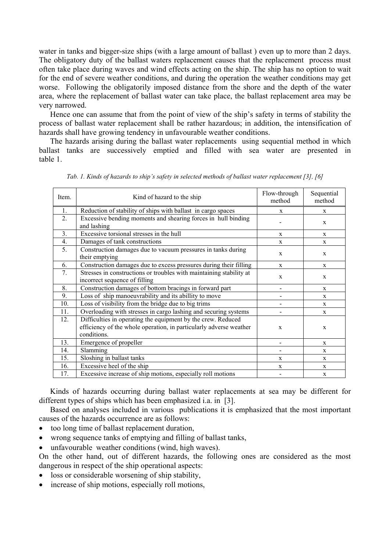water in tanks and bigger-size ships (with a large amount of ballast ) even up to more than 2 days. The obligatory duty of the ballast waters replacement causes that the replacement process must often take place during waves and wind effects acting on the ship. The ship has no option to wait for the end of severe weather conditions, and during the operation the weather conditions may get worse. Following the obligatorily imposed distance from the shore and the depth of the water area, where the replacement of ballast water can take place, the ballast replacement area may be very narrowed.

Hence one can assume that from the point of view of the ship's safety in terms of stability the process of ballast water replacement shall be rather hazardous; in addition, the intensification of hazards shall have growing tendency in unfavourable weather conditions.

The hazards arising during the ballast water replacements using sequential method in which ballast tanks are successively emptied and filled with sea water are presented in table 1.

| Item. | Kind of hazard to the ship                                                                                                                        | Flow-through<br>method   | Sequential<br>method |
|-------|---------------------------------------------------------------------------------------------------------------------------------------------------|--------------------------|----------------------|
| 1.    | Reduction of stability of ships with ballast in cargo spaces                                                                                      | X                        | X                    |
| 2.    | Excessive bending moments and shearing forces in hull binding<br>and lashing                                                                      |                          | $\mathbf{X}$         |
| 3.    | Excessive torsional stresses in the hull                                                                                                          | X                        | $\mathbf{X}$         |
| 4.    | Damages of tank constructions                                                                                                                     | X                        | X                    |
| 5.    | Construction damages due to vacuum pressures in tanks during<br>their emptying                                                                    | $\mathbf X$              | $\mathbf{x}$         |
| 6.    | Construction damages due to excess pressures during their filling                                                                                 | X                        | X                    |
| 7.    | Stresses in constructions or troubles with maintaining stability at<br>incorrect sequence of filling                                              | $\mathbf{x}$             | X                    |
| 8.    | Construction damages of bottom bracings in forward part                                                                                           | $\overline{\phantom{0}}$ | $\mathbf{x}$         |
| 9.    | Loss of ship manoeuvrability and its abillity to move                                                                                             |                          | $\mathbf x$          |
| 10.   | Loss of visibility from the bridge due to big trims                                                                                               |                          | $\mathbf{X}$         |
| 11.   | Overloading with stresses in cargo lashing and securing systems                                                                                   |                          | $\mathbf{X}$         |
| 12.   | Difficulties in operating the equipment by the crew. Reduced<br>efficiency of the whole operation, in particularly adverse weather<br>conditions. | X                        | X                    |
| 13.   | Emergence of propeller                                                                                                                            |                          | X                    |
| 14.   | Slamming                                                                                                                                          |                          | X                    |
| 15.   | Sloshing in ballast tanks                                                                                                                         | X                        | $\mathbf{x}$         |
| 16.   | Excessive heel of the ship                                                                                                                        | X                        | X                    |
| 17.   | Excessive increase of ship motions, especially roll motions                                                                                       |                          | X                    |

*Tab. 1. Kinds of hazards to ship's safety in selected methods of ballast water replacement [3], [6]* 

Kinds of hazards occurring during ballast water replacements at sea may be different for different types of ships which has been emphasized i.a. in [3].

Based on analyses included in various publications it is emphasized that the most important causes of the hazards occurrence are as follows:

- too long time of ballast replacement duration,
- wrong sequence tanks of emptying and filling of ballast tanks,

• unfavourable weather conditions (wind, high waves).

On the other hand, out of different hazards, the following ones are considered as the most dangerous in respect of the ship operational aspects:

- loss or considerable worsening of ship stability,
- increase of ship motions, especially roll motions,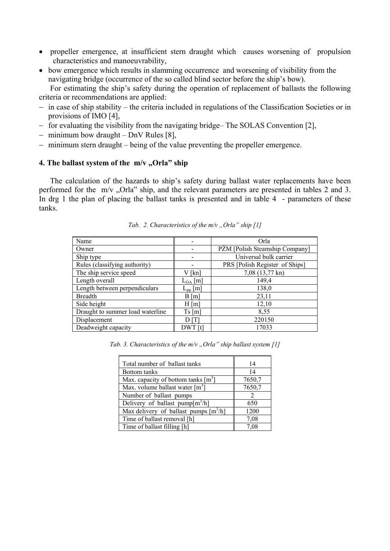- propeller emergence, at insufficient stern draught which causes worsening of propulsion characteristics and manoeuvrability,
- bow emergence which results in slamming occurrence and worsening of visibility from the navigating bridge (occurrence of the so called blind sector before the ship's bow).

For estimating the ship's safety during the operation of replacement of ballasts the following criteria or recommendations are applied:

- − in case of ship stability the criteria included in regulations of the Classification Societies or in provisions of IMO [4],
- − for evaluating the visibility from the navigating bridge– The SOLAS Convention [2],
- − minimum bow draught DnV Rules [8],
- − minimum stern draught being of the value preventing the propeller emergence.

## **4. The ballast system of the m/v , Orla" ship**

The calculation of the hazards to ship's safety during ballast water replacements have been performed for the  $m/v$ . Orla<sup>3</sup> ship, and the relevant parameters are presented in tables 2 and 3. In drg 1 the plan of placing the ballast tanks is presented and in table 4 - parameters of these tanks.

| Name                             |                    | Orla                           |
|----------------------------------|--------------------|--------------------------------|
| Owner                            |                    | PŻM [Polish Steamship Company] |
| Ship type                        |                    | Universal bulk carrier         |
| Rules (classifying authority)    |                    | PRS [Polish Register of Ships] |
| The ship service speed           | $V$ [kn]           | 7,08 (13,77 kn)                |
| Length overall                   | $L_{OA}$ [m]       | 149,4                          |
| Length between perpendiculars    | $L_{\text{pp}}[m]$ | 138,0                          |
| <b>Breadth</b>                   | B[m]               | 23,11                          |
| Side height                      | H[m]               | 12,10                          |
| Draught to summer load waterline | Ts[m]              | 8,55                           |
| Displacement                     | D [T]              | 220150                         |
| Deadweight capacity              | DWT [t]            | 17033                          |

*Tab. 2. Characteristics of the m/v "Orla" ship [1]* 

*Tab. 3. Characteristics of the m/v "Orla" ship ballast system [1]* 

| Total number of ballast tanks           | 14     |
|-----------------------------------------|--------|
| Bottom tanks                            | 14     |
| Max. capacity of bottom tanks $[m^3]$   | 7650,7 |
| Max. volume ballast water $[m^3]$       | 7650,7 |
| Number of ballast pumps                 | 2      |
| Delivery of ballast pump $[m^3/h]$      | 650    |
| Max delivery of ballast pumps $[m^3/h]$ | 1200   |
| Time of ballast removal [h]             | 7,08   |
| Time of ballast filling [h]             | 7,08   |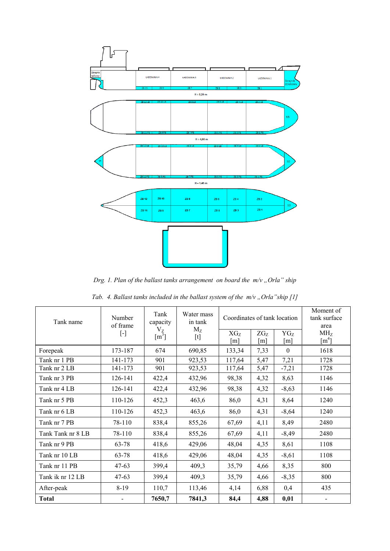

*Drg. 1. Plan of the ballast tanks arrangement on board the m/v "Orla" ship* 

| Tank name         | Number<br>of frame<br>$[\cdot]$ | Tank<br>capacity<br>$\rm V_Z$<br>$\text{[m}^3\text{]}$ | Water mass<br>in tank<br>$M_{Z}$<br>$[t] % \centering % {\includegraphics[width=0.9\textwidth]{figs-mit} \caption{The figure shows the results of the estimators in the right panel. The left panel shows the results of the parameters in the right panel.} \label{fig:mit} %$ | Coordinates of tank location<br>$XG_Z$ | $ZG_Z$            | Moment of<br>tank surface<br>area<br>MH <sub>z</sub> |                     |
|-------------------|---------------------------------|--------------------------------------------------------|---------------------------------------------------------------------------------------------------------------------------------------------------------------------------------------------------------------------------------------------------------------------------------|----------------------------------------|-------------------|------------------------------------------------------|---------------------|
|                   |                                 |                                                        |                                                                                                                                                                                                                                                                                 | $\lceil m \rceil$                      | $\lceil m \rceil$ | $\lceil m \rceil$                                    | $\lceil m^4 \rceil$ |
| Forepeak          | 173-187                         | 674                                                    | 690,85                                                                                                                                                                                                                                                                          | 133,34                                 | 7,33              | $\theta$                                             | 1618                |
| Tank nr 1 PB      | 141-173                         | 901                                                    | 923,53                                                                                                                                                                                                                                                                          | 117,64                                 | 5,47              | 7,21                                                 | 1728                |
| Tank nr 2 LB      | 141-173                         | 901                                                    | 923,53                                                                                                                                                                                                                                                                          | 117,64                                 | 5,47              | $-7,21$                                              | 1728                |
| Tank nr 3 PB      | 126-141                         | 422,4                                                  | 432,96                                                                                                                                                                                                                                                                          | 98,38                                  | 4,32              | 8,63                                                 | 1146                |
| Tank nr 4 LB      | 126-141                         | 422,4                                                  | 432,96                                                                                                                                                                                                                                                                          | 98,38                                  | 4,32              | $-8,63$                                              | 1146                |
| Tank nr 5 PB      | 110-126                         | 452,3                                                  | 463,6                                                                                                                                                                                                                                                                           | 86,0                                   | 4,31              | 8,64                                                 | 1240                |
| Tank nr 6 LB      | 110-126                         | 452,3                                                  | 463,6                                                                                                                                                                                                                                                                           | 86,0                                   | 4,31              | $-8,64$                                              | 1240                |
| Tank nr 7 PB      | 78-110                          | 838,4                                                  | 855,26                                                                                                                                                                                                                                                                          | 67,69                                  | 4,11              | 8,49                                                 | 2480                |
| Tank Tank nr 8 LB | 78-110                          | 838,4                                                  | 855,26                                                                                                                                                                                                                                                                          | 67,69                                  | 4,11              | $-8,49$                                              | 2480                |
| Tank nr 9 PB      | 63-78                           | 418,6                                                  | 429,06                                                                                                                                                                                                                                                                          | 48,04                                  | 4,35              | 8,61                                                 | 1108                |
| Tank nr 10 LB     | 63-78                           | 418,6                                                  | 429,06                                                                                                                                                                                                                                                                          | 48,04                                  | 4,35              | $-8,61$                                              | 1108                |
| Tank nr 11 PB     | $47 - 63$                       | 399,4                                                  | 409,3                                                                                                                                                                                                                                                                           | 35,79                                  | 4,66              | 8,35                                                 | 800                 |
| Tank ik nr 12 LB  | $47 - 63$                       | 399,4                                                  | 409,3                                                                                                                                                                                                                                                                           | 35,79                                  | 4,66              | $-8,35$                                              | 800                 |
| After-peak        | $8 - 19$                        | 110,7                                                  | 113,46                                                                                                                                                                                                                                                                          | 4,14                                   | 6,88              | 0,4                                                  | 435                 |
| <b>Total</b>      |                                 | 7650,7                                                 | 7841,3                                                                                                                                                                                                                                                                          | 84,4                                   | 4,88              | 0,01                                                 |                     |

*Tab. 4. Ballast tanks included in the ballast system of the m/v "Orla"ship [1]*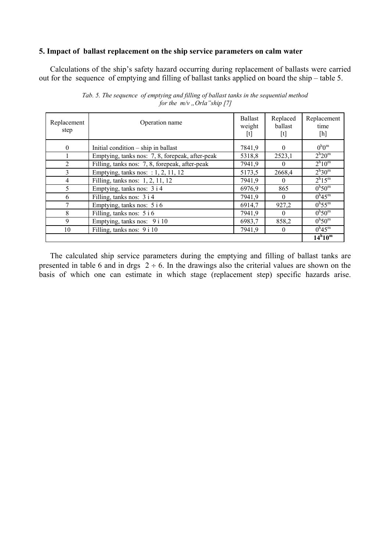### **5. Impact of ballast replacement on the ship service parameters on calm water**

Calculations of the ship's safety hazard occurring during replacement of ballasts were carried out for the sequence of emptying and filling of ballast tanks applied on board the ship – table 5.

| Replacement<br>step | Operation name                                  | Ballast<br>weight<br>$[t] % \centering % {\includegraphics[width=0.9\textwidth]{figs-mit} \caption{The figure shows the results of the estimators in the right panel. The left panel shows the results of the parameters in the right panel.} \label{fig:mit} %$ | Replaced<br>ballast<br>$[t] % \centering % {\includegraphics[width=0.9\textwidth]{figs-mit} \caption{The figure shows the results of the estimators in the right panel. The left panel shows the results of the parameters in the right panel.} \label{fig:mit} %$ | Replacement<br>time<br>$[h] \centering \includegraphics[width=0.8\textwidth]{Figures/PD1.png} \caption{The 3D (black) model for a different region of the parameter $\Omega$.} \label{fig:1}$ |
|---------------------|-------------------------------------------------|------------------------------------------------------------------------------------------------------------------------------------------------------------------------------------------------------------------------------------------------------------------|--------------------------------------------------------------------------------------------------------------------------------------------------------------------------------------------------------------------------------------------------------------------|-----------------------------------------------------------------------------------------------------------------------------------------------------------------------------------------------|
| $\theta$            | Initial condition – ship in ballast             | 7841,9                                                                                                                                                                                                                                                           | $\Omega$                                                                                                                                                                                                                                                           | 0 <sup>h</sup> 0 <sup>m</sup>                                                                                                                                                                 |
|                     | Emptying, tanks nos: 7, 8, forepeak, after-peak | 5318,8                                                                                                                                                                                                                                                           | 2523,1                                                                                                                                                                                                                                                             | $2^{\rm h}20^{\rm m}$                                                                                                                                                                         |
| $\overline{2}$      | Filling, tanks nos: 7, 8, forepeak, after-peak  | 7941,9                                                                                                                                                                                                                                                           | $\Omega$                                                                                                                                                                                                                                                           | $2^{\rm h}10^{\rm m}$                                                                                                                                                                         |
| 3                   | Emptying, tanks nos: $: 1, 2, 11, 12$           | 5173,5                                                                                                                                                                                                                                                           | 2668,4                                                                                                                                                                                                                                                             | $2^{h}30^{m}$                                                                                                                                                                                 |
| 4                   | Filling, tanks nos: 1, 2, 11, 12                | 7941,9                                                                                                                                                                                                                                                           | $\theta$                                                                                                                                                                                                                                                           | $2^{\rm h}15^{\rm m}$                                                                                                                                                                         |
| 5                   | Emptying, tanks nos: 3 i 4                      | 6976,9                                                                                                                                                                                                                                                           | 865                                                                                                                                                                                                                                                                | $0^{\rm h} 50^{\rm m}$                                                                                                                                                                        |
| 6                   | Filling, tanks nos: 3 i 4                       | 7941,9                                                                                                                                                                                                                                                           | $\Omega$                                                                                                                                                                                                                                                           | $0^{\rm h}45^{\rm m}$                                                                                                                                                                         |
|                     | Emptying, tanks nos: 5 i 6                      | 6914,7                                                                                                                                                                                                                                                           | 927,2                                                                                                                                                                                                                                                              | $0^{\rm h}$ 55 <sup>m</sup>                                                                                                                                                                   |
| 8                   | Filling, tanks nos: 5 i 6                       | 7941,9                                                                                                                                                                                                                                                           | $\theta$                                                                                                                                                                                                                                                           | $0^{\rm h} 50^{\rm m}$                                                                                                                                                                        |
| 9                   | Emptying, tanks nos: 9 i 10                     | 6983,7                                                                                                                                                                                                                                                           | 858,2                                                                                                                                                                                                                                                              | $0^{\rm h} 50^{\rm m}$                                                                                                                                                                        |
| 10                  | Filling, tanks nos: 9 i 10                      | 7941.9                                                                                                                                                                                                                                                           | $\theta$                                                                                                                                                                                                                                                           | $0^{\rm h}45^{\rm m}$                                                                                                                                                                         |
|                     |                                                 |                                                                                                                                                                                                                                                                  |                                                                                                                                                                                                                                                                    | $14^{\rm h}10^{\rm m}$                                                                                                                                                                        |

*Tab. 5. The sequence of emptying and filling of ballast tanks in the sequential method for the m/v* "Orla"ship  $[7]$ 

The calculated ship service parameters during the emptying and filling of ballast tanks are presented in table 6 and in drgs  $2 \div 6$ . In the drawings also the criterial values are shown on the basis of which one can estimate in which stage (replacement step) specific hazards arise.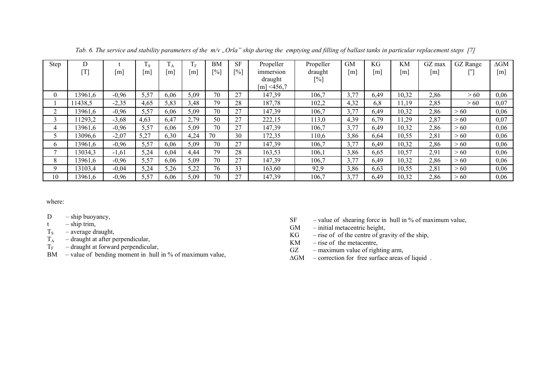| Step         |         |             | $\mathbf{S}$ | Īд   | Ť<br>$\blacksquare$ | BM     | <b>SF</b> | Propeller   | Propeller | <b>GM</b>         | <b>KG</b>         | KM    | GZ max      | <b>GZ</b> Range | $\Delta GM$ |
|--------------|---------|-------------|--------------|------|---------------------|--------|-----------|-------------|-----------|-------------------|-------------------|-------|-------------|-----------------|-------------|
|              | T]      | $[{\rm m}]$ | m            | [m]  | $[{\rm m}]$         | $[\%]$ | [%]       | immersion   | draught   | $\lceil m \rceil$ | $\lceil m \rceil$ | [m]   | $[{\rm m}]$ |                 | [m]         |
|              |         |             |              |      |                     |        |           | draught     | $[\%]$    |                   |                   |       |             |                 |             |
|              |         |             |              |      |                     |        |           | [m] < 456,7 |           |                   |                   |       |             |                 |             |
| $\theta$     | 13961,6 | $-0,96$     | 5,57         | 6,06 | 5,09                | 70     | 27        | 147,39      | 106,7     | 3,77              | 6,49              | 10,32 | 2,86        | > 60            | 0,06        |
|              | 11438,5 | $-2,35$     | 4,65         | 5,83 | 3,48                | 79     | 28        | 187,78      | 102,2     | 4,32              | 6,8               | 11,19 | 2,85        | > 60            | 0,07        |
| $\bigcap$    | 3961,6  | $-0,96$     | 5,57         | 6,06 | 5,09                | 70     | 27        | 147,39      | 106,7     | 3,77              | 6,49              | 10,32 | 2,86        | > 60            | 0,06        |
|              | 1293,2  | $-3,68$     | 4,63         | 6,47 | 2,79                | 50     | 27        | 222,15      | 113,0     | 4,39              | 6,79              | 11,29 | 2,87        | > 60            | 0,07        |
| 4            | 3961,6  | $-0,96$     | 5,57         | 6,06 | 5,09                | 70     | 27        | 147,39      | 106,7     | 3,77              | 6,49              | 10,32 | 2,86        | > 60            | 0,06        |
|              | 3096,6  | $-2,07$     | 5,27         | 6,30 | 4,24                | 70     | 30        | 172,35      | 110,6     | 3,86              | 6,64              | 10,55 | 2,81        | > 60            | 0,06        |
| <sub>0</sub> | 3961.6  | $-0,96$     | 5,57         | 6,06 | 5,09                | 70     | 27        | 147,39      | 106,7     | 3,77              | 6,49              | 10,32 | 2,86        | > 60            | 0,06        |
|              | 3034,3  | $-1,61$     | 5,24         | 6,04 | 4,44                | 79     | 28        | 163,53      | 106,1     | 3,86              | 6,65              | 10,57 | 2,91        | >60             | 0,06        |
| 8            | 3961,6  | $-0,96$     | 5,57         | 6,06 | 5,09                | 70     | 27        | 147,39      | 106,7     | 3,77              | 6,49              | 10,32 | 2,86        | >60             | 0,06        |
| q            | 3103,4  | $-0,04$     | 5,24         | 5,26 | 5,22                | 76     | 33        | 163,60      | 92,9      | 3,86              | 6,63              | 10,55 | 2,81        | > 60            | 0,06        |
| 10           | 3961,6  | $-0,96$     | 5,57         | 6,06 | 5,09                | 70     | 27        | 147,39      | 106,7     | 3,77              | 6,49              | 10,32 | 2,86        | > 60            | 0,06        |

*Tab. 6. The service and stability parameters of the m/v "Orla ship during the emptying and filling of ballast tanks in particular replacement steps* [7]

where:

- 
- 
- 
- T
- $T_A$  draught at after perpendicular,<br>  $T_F$  draught at forward perpendicular,<br>  $T_F$  draught at forward perpendicular,<br>  $GZ$  maximum value of righting arm,
- $T_F$  draught at forward perpendicular, GZ<br>BM value of bending moment in hull in % of maximum value,
- D ship buoyancy,<br>  $\begin{array}{ccc}\n\text{S} & -\text{value of shearing force in hull in }\% \text{ of maximum value,} \\
\text{C} & -\text{ship trim,} \\
\text{T}_\text{S} & -\text{average draght,} \\
\text{C} & \text{size of of the other of the thin.} \\
\end{array}$ 
	-
	- KG rise of of the centre of gravity of the ship,<br>KM rise of the metacentre,
	-
	-
	- ∆GM correction for free surface areas of liquid .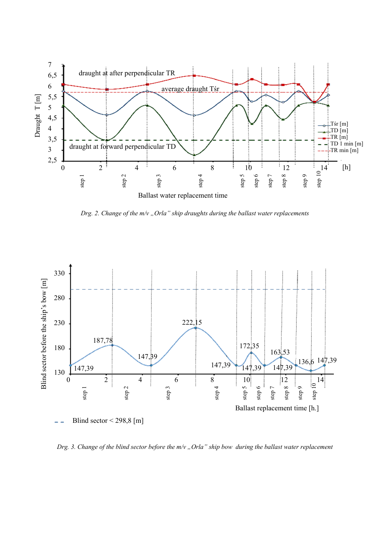

*Drg. 2. Change of the m/v "Orla" ship draughts during the ballast water replacements* 

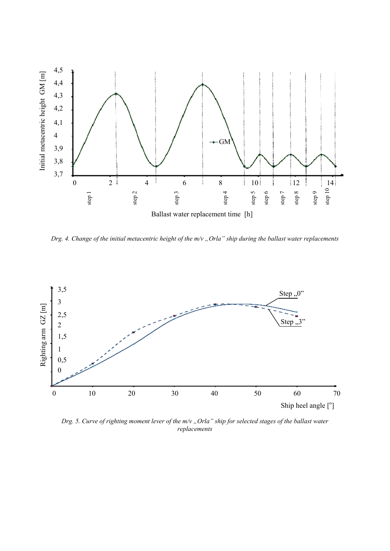

*Drg. 4. Change of the initial metacentric height of the m/v "Orla" ship during the ballast water replacements* 



*Drg. 5. Curve of righting moment lever of the m/v "Orla" ship for selected stages of the ballast water replacements*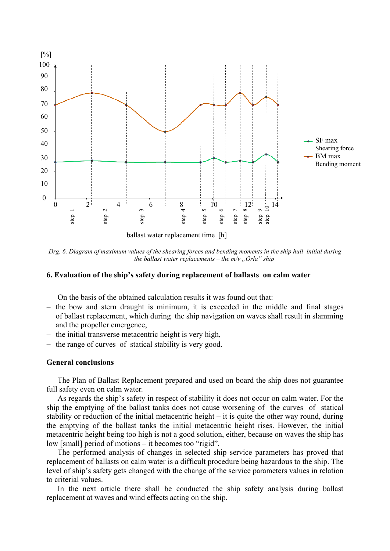

*Drg. 6. Diagram of maximum values of the shearing forces and bending moments in the ship hull initial during the ballast water replacements – the m/v "Orla" ship* 

### **6. Evaluation of the ship's safety during replacement of ballasts on calm water**

On the basis of the obtained calculation results it was found out that:

- − the bow and stern draught is minimum, it is exceeded in the middle and final stages of ballast replacement, which during the ship navigation on waves shall result in slamming and the propeller emergence,
- − the initial transverse metacentric height is very high,
- − the range of curves of statical stability is very good.

### **General conclusions**

The Plan of Ballast Replacement prepared and used on board the ship does not guarantee full safety even on calm water*.*

As regards the ship's safety in respect of stability it does not occur on calm water. For the ship the emptying of the ballast tanks does not cause worsening of the curves of statical stability or reduction of the initial metacentric height – it is quite the other way round, during the emptying of the ballast tanks the initial metacentric height rises. However, the initial metacentric height being too high is not a good solution, either, because on waves the ship has low [small] period of motions – it becomes too "rigid". Fracement at which wind wind wind wind the ballast water replacement time [h]<br>
Drg. 6. Diagram of maximum values of the shearing forces and bend<br>
the ballast water replacements – the<br>
6. **Evaluation of the ship's safety d** 

The performed analysis of changes in selected ship service parameters has proved that replacement of ballasts on calm water is a difficult procedure being hazardous to the ship. The level of ship's safety gets changed with the change of the service parameters values in relation to criterial values.

In the next article there shall be conducted the ship safety analysis during ballast